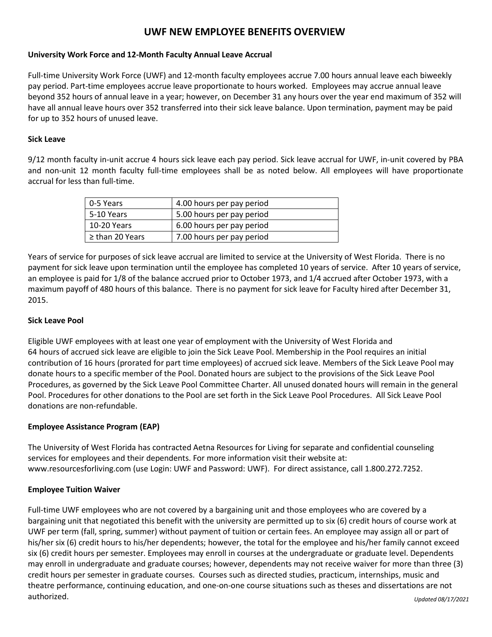# **UWF NEW EMPLOYEE BENEFITS OVERVIEW**

## **University Work Force and 12-Month Faculty Annual Leave Accrual**

Full-time University Work Force (UWF) and 12-month faculty employees accrue 7.00 hours annual leave each biweekly pay period. Part-time employees accrue leave proportionate to hours worked. Employees may accrue annual leave beyond 352 hours of annual leave in a year; however, on December 31 any hours over the year end maximum of 352 will have all annual leave hours over 352 transferred into their sick leave balance. Upon termination, payment may be paid for up to 352 hours of unused leave.

## **Sick Leave**

9/12 month faculty in-unit accrue 4 hours sick leave each pay period. Sick leave accrual for UWF, in-unit covered by PBA and non-unit 12 month faculty full-time employees shall be as noted below. All employees will have proportionate accrual for less than full-time.

| 0-5 Years       | 4.00 hours per pay period |
|-----------------|---------------------------|
| 5-10 Years      | 5.00 hours per pay period |
| 10-20 Years     | 6.00 hours per pay period |
| ≥ than 20 Years | 7.00 hours per pay period |

Years of service for purposes of sick leave accrual are limited to service at the University of West Florida. There is no payment for sick leave upon termination until the employee has completed 10 years of service. After 10 years of service, an employee is paid for 1/8 of the balance accrued prior to October 1973, and 1/4 accrued after October 1973, with a maximum payoff of 480 hours of this balance. There is no payment for sick leave for Faculty hired after December 31, 2015.

## **Sick Leave Pool**

Eligible UWF employees with at least one year of employment with the University of West Florida and 64 hours of accrued sick leave are eligible to join the Sick Leave Pool. Membership in the Pool requires an initial contribution of 16 hours (prorated for part time employees) of accrued sick leave. Members of the Sick Leave Pool may donate hours to a specific member of the Pool. Donated hours are subject to the provisions of the Sick Leave Pool Procedures, as governed by the Sick Leave Pool Committee Charter. All unused donated hours will remain in the general Pool. Procedures for other donations to the Pool are set forth in the Sick Leave Pool Procedures. All Sick Leave Pool donations are non-refundable.

## **Employee Assistance Program (EAP)**

The University of West Florida has contracted Aetna Resources for Living for separate and confidential counseling services for employees and their dependents. For more information visit their website at: www.resourcesforliving.com (use Login: UWF and Password: UWF). For direct assistance, call 1.800.272.7252.

## **Employee Tuition Waiver**

Full-time UWF employees who are not covered by a bargaining unit and those employees who are covered by a bargaining unit that negotiated this benefit with the university are permitted up to six (6) credit hours of course work at UWF per term (fall, spring, summer) without payment of tuition or certain fees. An employee may assign all or part of his/her six (6) credit hours to his/her dependents; however, the total for the employee and his/her family cannot exceed six (6) credit hours per semester. Employees may enroll in courses at the undergraduate or graduate level. Dependents may enroll in undergraduate and graduate courses; however, dependents may not receive waiver for more than three (3) credit hours per semester in graduate courses. Courses such as directed studies, practicum, internships, music and theatre performance, continuing education, and one-on-one course situations such as theses and dissertations are not authorized.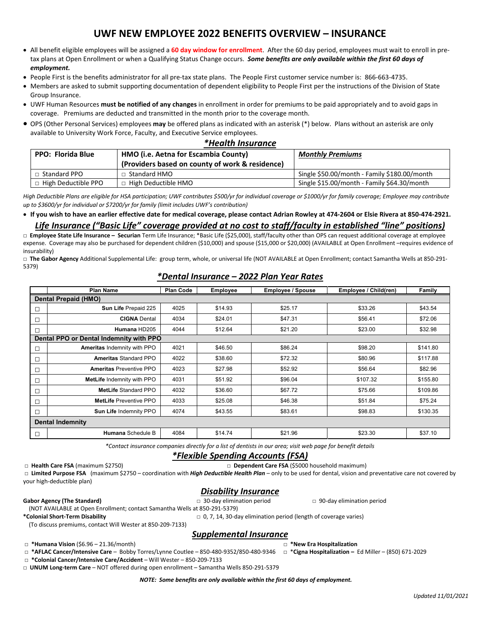# **UWF NEW EMPLOYEE 2022 BENEFITS OVERVIEW – INSURANCE**

- All benefit eligible employees will be assigned a **60 day window for enrollment**. After the 60 day period, employees must wait to enroll in pretax plans at Open Enrollment or when a Qualifying Status Change occurs. *Some benefits are only available within the first 60 days of employment.*
- People First is the benefits administrator for all pre-tax state plans. The People First customer service number is: 866-663-4735.
- Members are asked to submit supporting documentation of dependent eligibility to People First per the instructions of the Division of State Group Insurance.
- UWF Human Resources **must be notified of any changes** in enrollment in order for premiums to be paid appropriately and to avoid gaps in coverage. Premiums are deducted and transmitted in the month prior to the coverage month.
- OPS (Other Personal Services) employees **may** be offered plans as indicated with an asterisk (\*) below. Plans without an asterisk are only available to University Work Force, Faculty, and Executive Service employees.

| *Health Insurance                    |  |  |  |  |
|--------------------------------------|--|--|--|--|
| and a fact the countries to accept A |  |  |  |  |

| <b>PPO: Florida Blue</b>   | HMO (i.e. Aetna for Escambia County)            | <b>Monthly Premiums</b>                      |  |
|----------------------------|-------------------------------------------------|----------------------------------------------|--|
|                            | (Providers based on county of work & residence) |                                              |  |
| Standard PPO               | $\Box$ Standard HMO                             | Single \$50.00/month - Family \$180.00/month |  |
| $\Box$ High Deductible PPO | $\Box$ High Deductible HMO                      | Single \$15.00/month - Family \$64.30/month  |  |

*High Deductible Plans are eligible for HSA participation; UWF contributes \$500/yr for individual coverage or \$1000/yr for family coverage; Employee may contribute up to \$3600/yr for individual or \$7200/yr for family (limit includes UWF's contribution)*

• **If you wish to have an earlier effective date for medical coverage, please contact Adrian Rowley at 474-2604 or Elsie Rivera at 850-474-2921.**

#### *Life Insurance ("Basic Life" coverage provided at no cost to staff/faculty in established "line" positions)*

**□ Employee State Life Insurance – Securian** Term Life Insurance; \*Basic Life (\$25,000), staff/faculty other than OPS can request additional coverage at employee expense. Coverage may also be purchased for dependent children (\$10,000) and spouse (\$15,000 or \$20,000) (AVAILABLE at Open Enrollment –requires evidence of insurability)

**□ The Gabor Agency** Additional Supplemental Life: group term, whole, or universal life (NOT AVAILABLE at Open Enrollment; contact Samantha Wells at 850-291- 5379)

## *\*Dental Insurance – 2022 Plan Year Rates*

|                                         | <b>Plan Name</b>                  | <b>Plan Code</b> | <b>Employee</b> | <b>Employee / Spouse</b> | Employee / Child(ren) | Family   |  |  |  |  |  |
|-----------------------------------------|-----------------------------------|------------------|-----------------|--------------------------|-----------------------|----------|--|--|--|--|--|
| Dental Prepaid (HMO)                    |                                   |                  |                 |                          |                       |          |  |  |  |  |  |
| П                                       | Sun Life Prepaid 225              | 4025             | \$14.93         | \$25.17                  | \$33.26               | \$43.54  |  |  |  |  |  |
| П                                       | <b>CIGNA Dental</b>               | 4034             | \$24.01         | \$47.31                  | \$56.41               | \$72.06  |  |  |  |  |  |
| П                                       | Humana HD205                      | 4044             | \$12.64         | \$21.20                  | \$23.00               | \$32.98  |  |  |  |  |  |
| Dental PPO or Dental Indemnity with PPO |                                   |                  |                 |                          |                       |          |  |  |  |  |  |
|                                         | Ameritas Indemnity with PPO       | 4021             | \$46.50         | \$86.24                  | \$98.20               | \$141.80 |  |  |  |  |  |
| П                                       | <b>Ameritas Standard PPO</b>      | 4022             | \$38.60         | \$72.32                  | \$80.96               | \$117.88 |  |  |  |  |  |
| П                                       | <b>Ameritas Preventive PPO</b>    | 4023             | \$27.98         | \$52.92                  | \$56.64               | \$82.96  |  |  |  |  |  |
|                                         | <b>MetLife Indemnity with PPO</b> | 4031             | \$51.92         | \$96.04                  | \$107.32              | \$155.80 |  |  |  |  |  |
| П                                       | MetLife Standard PPO              | 4032             | \$36.60         | \$67.72                  | \$75.66               | \$109.86 |  |  |  |  |  |
| П                                       | MetLife Preventive PPO            | 4033             | \$25.08         | \$46.38                  | \$51.84               | \$75.24  |  |  |  |  |  |
| п                                       | Sun Life Indemnity PPO            | 4074             | \$43.55         | \$83.61                  | \$98.83               | \$130.35 |  |  |  |  |  |
| <b>Dental Indemnity</b>                 |                                   |                  |                 |                          |                       |          |  |  |  |  |  |
| П                                       | <b>Humana</b> Schedule B          | 4084             | \$14.74         | \$21.96                  | \$23.30               | \$37.10  |  |  |  |  |  |

*\*Contact insurance companies directly for a list of dentists in our area; visit web page for benefit details*

#### *\*Flexible Spending Accounts (FSA)*

**□ Health Care FSA** (maximum \$2750) **□ Dependent Care FSA** (\$5000 household maximum)

**□ Limited Purpose FSA** (maximum \$2750 – coordination with *High Deductible Health Plan* – only to be used for dental, vision and preventative care not covered by your high-deductible plan)

## *Disability Insurance*

**Gabor Agency (The Standard) □** 30-day elimination period **□** 90-day elimination period

**\*Colonial Short-Term Disability □** 0, 7, 14, 30-day elimination period (length of coverage varies)

(To discuss premiums, contact Will Wester at 850-209-7133)

## *Supplemental Insurance*

**□ \*Humana Vision** (\$6.96 – 21.36/month) **□ \*New Era Hospitalization** 

**□ \*AFLAC Cancer/Intensive Care** – Bobby Torres/Lynne Coutlee – 850-480-9352/850-480-9346 □ \***Cigna Hospitalization –** Ed Miller – (850) 671-2029 **□ \*Colonial Cancer/Intensive Care/Accident** – Will Wester – 850-209-7133

(NOT AVAILABLE at Open Enrollment; contact Samantha Wells at 850-291-5379)

**□ UNUM Long-term Care** – NOT offered during open enrollment – Samantha Wells 850-291-5379

*NOTE: Some benefits are only available within the first 60 days of employment.*